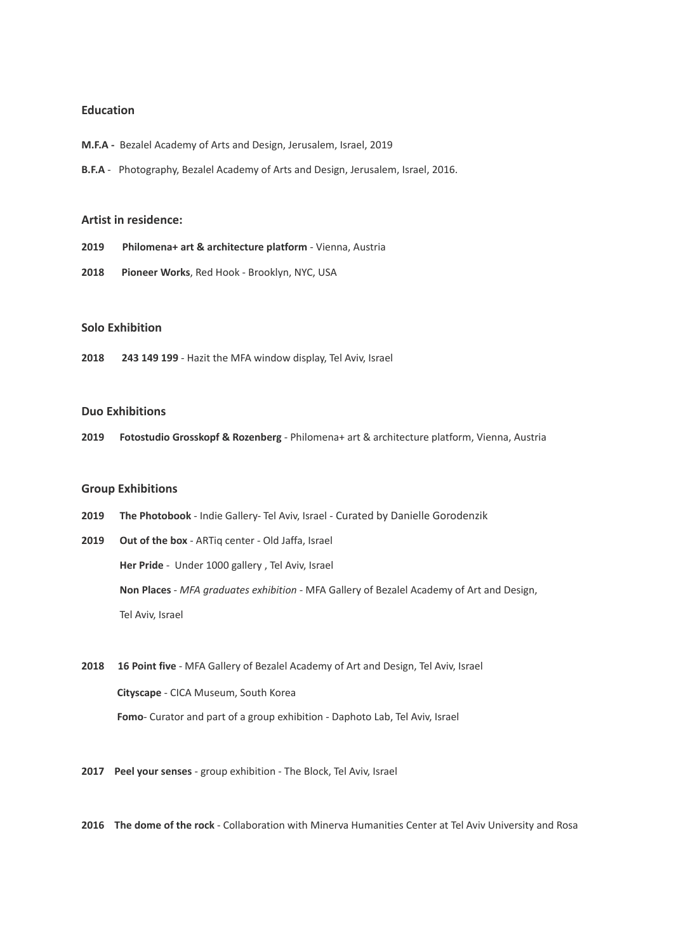## **Education**

- **M.F.A -** Bezalel Academy of Arts and Design, Jerusalem, Israel, 2019
- **B.F.A** Photography, Bezalel Academy of Arts and Design, Jerusalem, Israel, 2016.

### **Artist in residence:**

- **2019 Philomena+ art & architecture platform** *-* Vienna, Austria
- **2018 Pioneer Works**, Red Hook Brooklyn, NYC, USA

# **Solo Exhibition**

**2018 243 149 199** *-* Hazit the MFA window display, Tel Aviv, Israel

### **Duo Exhibitions**

**2019 Fotostudio Grosskopf & Rozenberg** - Philomena+ art & architecture platform, Vienna, Austria

## **Group Exhibitions**

**2019 The Photobook** - Indie Gallery- Tel Aviv, Israel - Curated by Danielle Gorodenzik

**2019 Out of the box** - ARTiq center - Old Jaffa, Israel **Her Pride** *-* Under 1000 gallery , Tel Aviv, Israel **Non Places** *- MFA graduates exhibition -* MFA Gallery of Bezalel Academy of Art and Design, Tel Aviv, Israel

- **2018 16 Point five** MFA Gallery of Bezalel Academy of Art and Design, Tel Aviv, Israel **Cityscape** - CICA Museum, South Korea **Fomo***-* Curator and part of a group exhibition - Daphoto Lab, Tel Aviv, Israel
- **2017 Peel your senses** group exhibition The Block, Tel Aviv, Israel
- **2016 The dome of the rock** Collaboration with Minerva Humanities Center at Tel Aviv University and Rosa